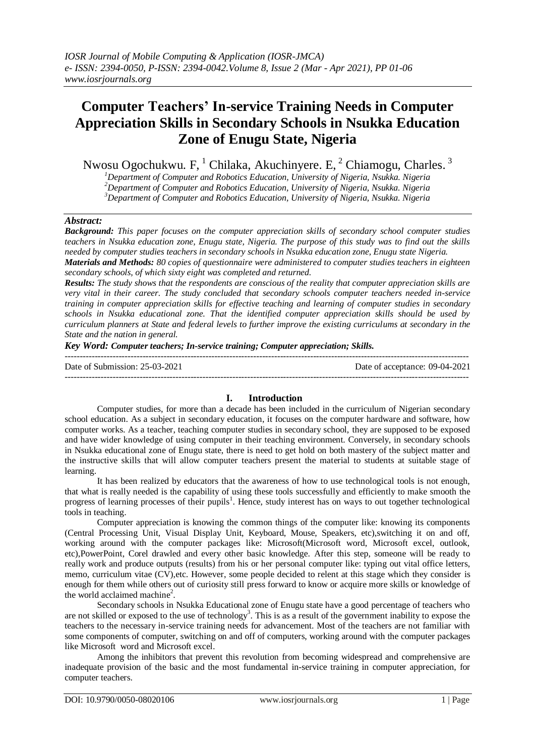# **Computer Teachers' In-service Training Needs in Computer Appreciation Skills in Secondary Schools in Nsukka Education Zone of Enugu State, Nigeria**

Nwosu Ogochukwu. F,  $^1$  Chilaka, Akuchinyere. E,  $^2$  Chiamogu, Charles.  $^3$ 

*<sup>1</sup>Department of Computer and Robotics Education, University of Nigeria, Nsukka. Nigeria <sup>2</sup>Department of Computer and Robotics Education, University of Nigeria, Nsukka. Nigeria <sup>3</sup>Department of Computer and Robotics Education, University of Nigeria, Nsukka. Nigeria*

## *Abstract:*

*Background: This paper focuses on the computer appreciation skills of secondary school computer studies teachers in Nsukka education zone, Enugu state, Nigeria. The purpose of this study was to find out the skills needed by computer studies teachers in secondary schools in Nsukka education zone, Enugu state Nigeria. Materials and Methods: 80 copies of questionnaire were administered to computer studies teachers in eighteen* 

*secondary schools, of which sixty eight was completed and returned.* 

*Results: The study shows that the respondents are conscious of the reality that computer appreciation skills are very vital in their career. The study concluded that secondary schools computer teachers needed in-service training in computer appreciation skills for effective teaching and learning of computer studies in secondary schools in Nsukka educational zone. That the identified computer appreciation skills should be used by curriculum planners at State and federal levels to further improve the existing curriculums at secondary in the State and the nation in general.* 

*Key Word: Computer teachers; In-service training; Computer appreciation; Skills.*

--------------------------------------------------------------------------------------------------------------------------------------- Date of Submission: 25-03-2021 Date of acceptance: 09-04-2021  $-1-\frac{1}{2}$ 

## **I. Introduction**

Computer studies, for more than a decade has been included in the curriculum of Nigerian secondary school education. As a subject in secondary education, it focuses on the computer hardware and software, how computer works. As a teacher, teaching computer studies in secondary school, they are supposed to be exposed and have wider knowledge of using computer in their teaching environment. Conversely, in secondary schools in Nsukka educational zone of Enugu state, there is need to get hold on both mastery of the subject matter and the instructive skills that will allow computer teachers present the material to students at suitable stage of learning.

It has been realized by educators that the awareness of how to use technological tools is not enough, that what is really needed is the capability of using these tools successfully and efficiently to make smooth the progress of learning processes of their pupils<sup>1</sup>. Hence, study interest has on ways to out together technological tools in teaching.

Computer appreciation is knowing the common things of the computer like: knowing its components (Central Processing Unit, Visual Display Unit, Keyboard, Mouse, Speakers, etc),switching it on and off, working around with the computer packages like: Microsoft(Microsoft word, Microsoft excel, outlook, etc),PowerPoint, Corel drawled and every other basic knowledge. After this step, someone will be ready to really work and produce outputs (results) from his or her personal computer like: typing out vital office letters, memo, curriculum vitae (CV),etc. However, some people decided to relent at this stage which they consider is enough for them while others out of curiosity still press forward to know or acquire more skills or knowledge of the world acclaimed machine<sup>2</sup>.

Secondary schools in Nsukka Educational zone of Enugu state have a good percentage of teachers who are not skilled or exposed to the use of technology<sup>3</sup>. This is as a result of the government inability to expose the teachers to the necessary in-service training needs for advancement. Most of the teachers are not familiar with some components of computer, switching on and off of computers, working around with the computer packages like Microsoft word and Microsoft excel.

Among the inhibitors that prevent this revolution from becoming widespread and comprehensive are inadequate provision of the basic and the most fundamental in-service training in computer appreciation, for computer teachers.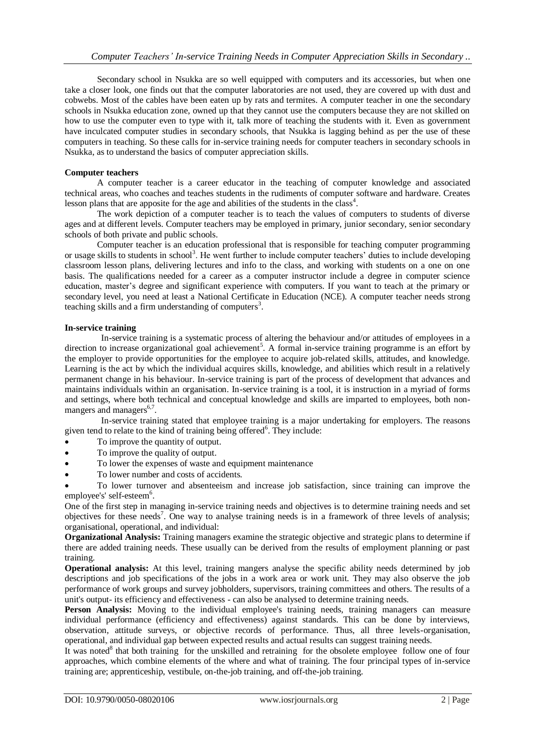Secondary school in Nsukka are so well equipped with computers and its accessories, but when one take a closer look, one finds out that the computer laboratories are not used, they are covered up with dust and cobwebs. Most of the cables have been eaten up by rats and termites. A computer teacher in one the secondary schools in Nsukka education zone, owned up that they cannot use the computers because they are not skilled on how to use the computer even to type with it, talk more of teaching the students with it. Even as government have inculcated computer studies in secondary schools, that Nsukka is lagging behind as per the use of these computers in teaching. So these calls for in-service training needs for computer teachers in secondary schools in Nsukka, as to understand the basics of computer appreciation skills.

#### **Computer teachers**

A computer teacher is a career educator in the teaching of computer knowledge and associated technical areas, who coaches and teaches students in the rudiments of computer software and hardware. Creates lesson plans that are apposite for the age and abilities of the students in the class<sup>4</sup>.

The work depiction of a computer teacher is to teach the values of computers to students of diverse ages and at different levels. Computer teachers may be employed in primary, junior secondary, senior secondary schools of both private and public schools.

Computer teacher is an education professional that is responsible for teaching computer programming or usage skills to students in school<sup>3</sup>. He went further to include computer teachers' duties to include developing classroom lesson plans, delivering lectures and info to the class, and working with students on a one on one basis. The qualifications needed for a career as a computer instructor include a degree in computer science education, master's degree and significant experience with computers. If you want to teach at the primary or secondary level, you need at least a National Certificate in Education (NCE). A computer teacher needs strong teaching skills and a firm understanding of computers $3$ .

#### **In-service training**

In-service training is a systematic process of altering the behaviour and/or attitudes of employees in a direction to increase organizational goal achievement<sup>5</sup>. A formal in-service training programme is an effort by the employer to provide opportunities for the employee to acquire job-related skills, attitudes, and knowledge. Learning is the act by which the individual acquires skills, knowledge, and abilities which result in a relatively permanent change in his behaviour. In-service training is part of the process of development that advances and maintains individuals within an organisation. In-service training is a tool, it is instruction in a myriad of forms and settings, where both technical and conceptual knowledge and skills are imparted to employees, both nonmangers and managers<sup>6,7</sup>.

In-service training stated that employee training is a major undertaking for employers. The reasons given tend to relate to the kind of training being offered<sup>6</sup>. They include:

- To improve the quantity of output.
- To improve the quality of output.
- To lower the expenses of waste and equipment maintenance
- To lower number and costs of accidents.

 To lower turnover and absenteeism and increase job satisfaction, since training can improve the employee's' self-esteem<sup>6</sup>.

One of the first step in managing in-service training needs and objectives is to determine training needs and set objectives for these needs<sup>7</sup>. One way to analyse training needs is in a framework of three levels of analysis; organisational, operational, and individual:

**Organizational Analysis:** Training managers examine the strategic objective and strategic plans to determine if there are added training needs. These usually can be derived from the results of employment planning or past training.

**Operational analysis:** At this level, training mangers analyse the specific ability needs determined by job descriptions and job specifications of the jobs in a work area or work unit. They may also observe the job performance of work groups and survey jobholders, supervisors, training committees and others. The results of a unit's output- its efficiency and effectiveness - can also be analysed to determine training needs.

**Person Analysis:** Moving to the individual employee's training needs, training managers can measure individual performance (efficiency and effectiveness) against standards. This can be done by interviews, observation, attitude surveys, or objective records of performance. Thus, all three levels-organisation, operational, and individual gap between expected results and actual results can suggest training needs.

It was noted<sup>8</sup> that both training for the unskilled and retraining for the obsolete employee follow one of four approaches, which combine elements of the where and what of training. The four principal types of in-service training are; apprenticeship, vestibule, on-the-job training, and off-the-job training.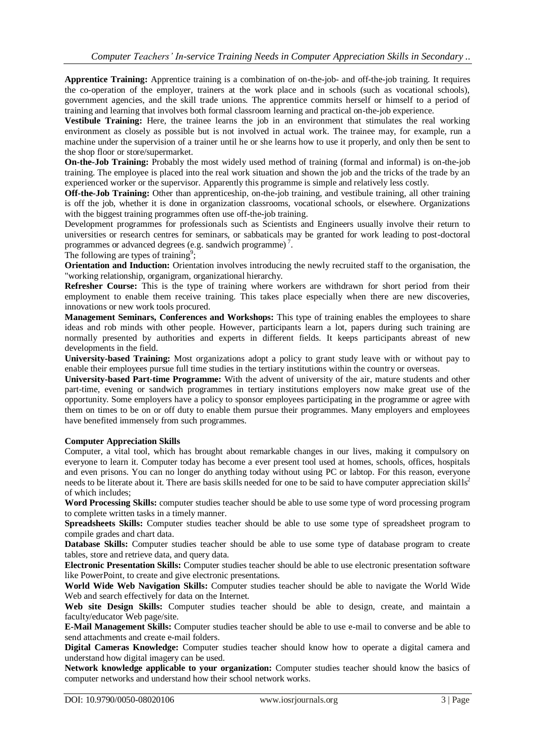**Apprentice Training:** Apprentice training is a combination of on-the-job- and off-the-job training. It requires the co-operation of the employer, trainers at the work place and in schools (such as vocational schools), government agencies, and the skill trade unions. The apprentice commits herself or himself to a period of training and learning that involves both formal classroom learning and practical on-the-job experience.

**Vestibule Training:** Here, the trainee learns the job in an environment that stimulates the real working environment as closely as possible but is not involved in actual work. The trainee may, for example, run a machine under the supervision of a trainer until he or she learns how to use it properly, and only then be sent to the shop floor or store/supermarket.

**On-the-Job Training:** Probably the most widely used method of training (formal and informal) is on-the-job training. The employee is placed into the real work situation and shown the job and the tricks of the trade by an experienced worker or the supervisor. Apparently this programme is simple and relatively less costly.

**Off-the-Job Training:** Other than apprenticeship, on-the-job training, and vestibule training, all other training is off the job, whether it is done in organization classrooms, vocational schools, or elsewhere. Organizations with the biggest training programmes often use off-the-job training.

Development programmes for professionals such as Scientists and Engineers usually involve their return to universities or research centres for seminars, or sabbaticals may be granted for work leading to post-doctoral programmes or advanced degrees (e.g. sandwich programme)<sup>7</sup>.

The following are types of training<sup>9</sup>;

**Orientation and Induction:** Orientation involves introducing the newly recruited staff to the organisation, the "working relationship, organigram, organizational hierarchy.

**Refresher Course:** This is the type of training where workers are withdrawn for short period from their employment to enable them receive training. This takes place especially when there are new discoveries, innovations or new work tools procured.

**Management Seminars, Conferences and Workshops:** This type of training enables the employees to share ideas and rob minds with other people. However, participants learn a lot, papers during such training are normally presented by authorities and experts in different fields. It keeps participants abreast of new developments in the field.

**University-based Training:** Most organizations adopt a policy to grant study leave with or without pay to enable their employees pursue full time studies in the tertiary institutions within the country or overseas.

**University-based Part-time Programme:** With the advent of university of the air, mature students and other part-time, evening or sandwich programmes in tertiary institutions employers now make great use of the opportunity. Some employers have a policy to sponsor employees participating in the programme or agree with them on times to be on or off duty to enable them pursue their programmes. Many employers and employees have benefited immensely from such programmes.

#### **Computer Appreciation Skills**

Computer, a vital tool, which has brought about remarkable changes in our lives, making it compulsory on everyone to learn it. Computer today has become a ever present tool used at homes, schools, offices, hospitals and even prisons. You can no longer do anything today without using PC or labtop. For this reason, everyone needs to be literate about it. There are basis skills needed for one to be said to have computer appreciation skills 2 of which includes;

**[Word Processing](https://amzn.to/2QHShb7) Skills:** computer studies teacher should be able to use some type of word processing program to complete written tasks in a timely manner.

**[Spreadsheets](https://amzn.to/2J9IB4P) Skills:** Computer studies teacher should be able to use some type of spreadsheet program to compile grades and chart data.

**[Database](https://amzn.to/2UBPW2D) Skills:** Computer studies teacher should be able to use some type of database program to create tables, store and retrieve data, and query data.

**Electronic Presentation Skills:** Computer studies teacher should be able to use electronic presentation software like PowerPoint, to create and give electronic presentations.

**World Wide Web Navigation Skills:** Computer studies teacher should be able to navigate the World Wide Web and search effectively for data on the Internet.

Web site Design Skills: Computer studies teacher should be able to design, create, and maintain a faculty/educator Web page/site.

**E-Mail Management Skills:** Computer studies teacher should be able to use e-mail to converse and be able to send attachments and create e-mail folders.

**Digital Cameras Knowledge:** Computer studies teacher should know how to operate a digital camera and understand how digital imagery can be used.

**Network knowledge applicable to your organization:** Computer studies teacher should know the basics of computer networks and understand how their school network works.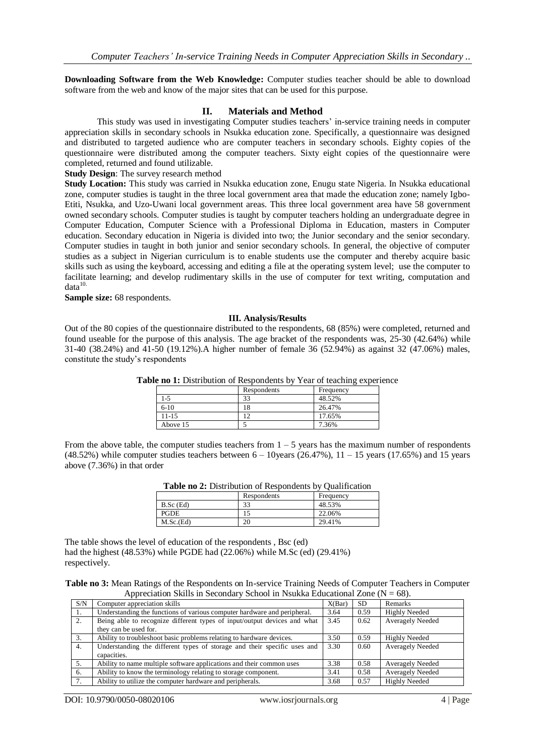**Downloading Software from the Web Knowledge:** Computer studies teacher should be able to download software from the web and know of the major sites that can be used for this purpose.

### **II. Materials and Method**

This study was used in investigating Computer studies teachers' in-service training needs in computer appreciation skills in secondary schools in Nsukka education zone. Specifically, a questionnaire was designed and distributed to targeted audience who are computer teachers in secondary schools. Eighty copies of the questionnaire were distributed among the computer teachers. Sixty eight copies of the questionnaire were completed, returned and found utilizable.

**Study Design**: The survey research method

**Study Location:** This study was carried in Nsukka education zone, Enugu state Nigeria. In Nsukka educational zone, computer studies is taught in the three local government area that made the education zone; namely Igbo-Etiti, Nsukka, and Uzo-Uwani local government areas. This three local government area have 58 government owned secondary schools. Computer studies is taught by computer teachers holding an undergraduate degree in Computer Education, Computer Science with a Professional Diploma in Education, masters in Computer education. Secondary education in Nigeria is divided into two; the Junior secondary and the senior secondary. Computer studies in taught in both junior and senior secondary schools. In general, the objective of computer studies as a subject in Nigerian curriculum is to enable students use the computer and thereby acquire basic skills such as using the keyboard, accessing and editing a file at the operating system level; use the computer to facilitate learning; and develop rudimentary skills in the use of computer for text writing, computation and  $data<sup>10</sup>$ .

**Sample size:** 68 respondents.

#### **III. Analysis/Results**

Out of the 80 copies of the questionnaire distributed to the respondents, 68 (85%) were completed, returned and found useable for the purpose of this analysis. The age bracket of the respondents was, 25-30 (42.64%) while 31-40 (38.24%) and 41-50 (19.12%).A higher number of female 36 (52.94%) as against 32 (47.06%) males, constitute the study's respondents

| Table no 1: Distribution of Respondents by Year of teaching experience |  |  |
|------------------------------------------------------------------------|--|--|
|------------------------------------------------------------------------|--|--|

|           |             | . .       |
|-----------|-------------|-----------|
|           | Respondents | Frequency |
| $1 - 5$   | 33          | 48.52%    |
| $6-10$    | 18          | 26.47%    |
| $11 - 15$ |             | 17.65%    |
| Above 15  |             | 7.36%     |

From the above table, the computer studies teachers from  $1 - 5$  years has the maximum number of respondents  $(48.52%)$  while computer studies teachers between  $6 - 10$  years  $(26.47%)$ ,  $11 - 15$  years  $(17.65%)$  and 15 years above (7.36%) in that order

| Table no 2: Distribution of Respondents by Qualification |             |           |  |  |
|----------------------------------------------------------|-------------|-----------|--|--|
|                                                          | Respondents | Frequency |  |  |
| $B.Sc$ (Ed)                                              | 33          | 48.53%    |  |  |
| <b>PGDE</b>                                              |             | 22.06%    |  |  |
| M.Sc.(Ed)                                                | 20          | 29.41%    |  |  |

The table shows the level of education of the respondents , Bsc (ed) had the highest (48.53%) while PGDE had (22.06%) while M.Sc (ed) (29.41%) respectively.

**Table no 3:** Mean Ratings of the Respondents on In-service Training Needs of Computer Teachers in Computer Appreciation Skills in Secondary School in Nsukka Educational Zone ( $N = 68$ ).

| S/N | Computer appreciation skills                                             | X(Bar) | SD.  | Remarks                 |
|-----|--------------------------------------------------------------------------|--------|------|-------------------------|
| 1.  | Understanding the functions of various computer hardware and peripheral. | 3.64   | 0.59 | <b>Highly Needed</b>    |
| 2.  | Being able to recognize different types of input/output devices and what | 3.45   | 0.62 | <b>Averagely Needed</b> |
|     | they can be used for.                                                    |        |      |                         |
| 3.  | Ability to troubleshoot basic problems relating to hardware devices.     | 3.50   | 0.59 | <b>Highly Needed</b>    |
| 4.  | Understanding the different types of storage and their specific uses and | 3.30   | 0.60 | <b>Averagely Needed</b> |
|     | capacities.                                                              |        |      |                         |
|     | Ability to name multiple software applications and their common uses     | 3.38   | 0.58 | <b>Averagely Needed</b> |
| 6.  | Ability to know the terminology relating to storage component.           | 3.41   | 0.58 | <b>Averagely Needed</b> |
|     | Ability to utilize the computer hardware and peripherals.                | 3.68   | 0.57 | <b>Highly Needed</b>    |

DOI: 10.9790/0050-08020106 www.iosrjournals.org 4 | Page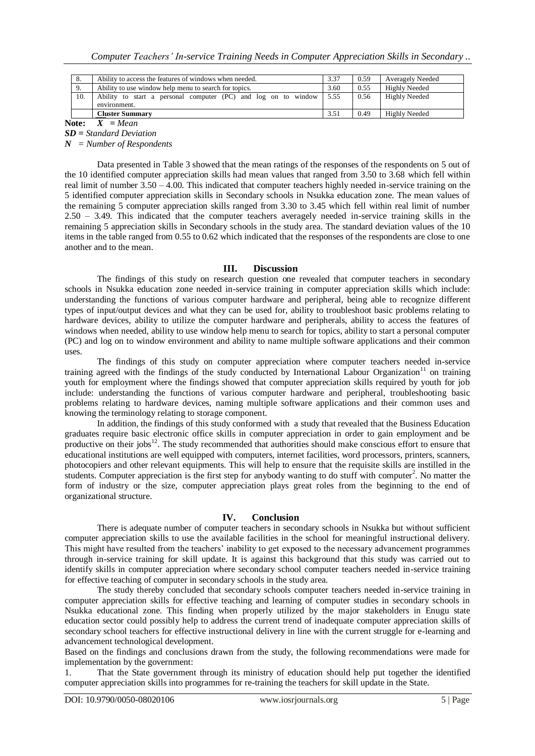| 8.  | Ability to access the features of windows when needed.                         |      | 0.59 | <b>Averagely Needed</b> |
|-----|--------------------------------------------------------------------------------|------|------|-------------------------|
| 9.  | Ability to use window help menu to search for topics.                          | 3.60 | 0.55 | <b>Highly Needed</b>    |
| 10. | Ability to start a personal computer (PC) and log on to window<br>environment. | 5.55 | 0.56 | Highly Needed           |
|     | <b>Cluster Summary</b>                                                         | 3.51 | 0.49 | Highly Needed           |

Note:  $\overline{X}$  = Mean

*SD = Standard Deviation* 

*N = Number of Respondents*

Data presented in Table 3 showed that the mean ratings of the responses of the respondents on 5 out of the 10 identified computer appreciation skills had mean values that ranged from 3.50 to 3.68 which fell within real limit of number  $3.50 - 4.00$ . This indicated that computer teachers highly needed in-service training on the 5 identified computer appreciation skills in Secondary schools in Nsukka education zone. The mean values of the remaining 5 computer appreciation skills ranged from 3.30 to 3.45 which fell within real limit of number 2.50 – 3.49. This indicated that the computer teachers averagely needed in-service training skills in the remaining 5 appreciation skills in Secondary schools in the study area. The standard deviation values of the 10 items in the table ranged from 0.55 to 0.62 which indicated that the responses of the respondents are close to one another and to the mean.

#### **III. Discussion**

The findings of this study on research question one revealed that computer teachers in secondary schools in Nsukka education zone needed in-service training in computer appreciation skills which include: understanding the functions of various computer hardware and peripheral, being able to recognize different types of input/output devices and what they can be used for, ability to troubleshoot basic problems relating to hardware devices, ability to utilize the computer hardware and peripherals, ability to access the features of windows when needed, ability to use window help menu to search for topics, ability to start a personal computer (PC) and log on to window environment and ability to name multiple software applications and their common uses.

The findings of this study on computer appreciation where computer teachers needed in-service training agreed with the findings of the study conducted by International Labour Organization<sup>11</sup> on training youth for employment where the findings showed that computer appreciation skills required by youth for job include: understanding the functions of various computer hardware and peripheral, troubleshooting basic problems relating to hardware devices, naming multiple software applications and their common uses and knowing the terminology relating to storage component.

In addition, the findings of this study conformed with a study that revealed that the Business Education graduates require basic electronic office skills in computer appreciation in order to gain employment and be productive on their jobs $12$ . The study recommended that authorities should make conscious effort to ensure that educational institutions are well equipped with computers, internet facilities, word processors, printers, scanners, photocopiers and other relevant equipments. This will help to ensure that the requisite skills are instilled in the students. Computer appreciation is the first step for anybody wanting to do stuff with computer<sup>2</sup>. No matter the form of industry or the size, computer appreciation plays great roles from the beginning to the end of organizational structure.

## **IV. Conclusion**

There is adequate number of computer teachers in secondary schools in Nsukka but without sufficient computer appreciation skills to use the available facilities in the school for meaningful instructional delivery. This might have resulted from the teachers' inability to get exposed to the necessary advancement programmes through in-service training for skill update. It is against this background that this study was carried out to identify skills in computer appreciation where secondary school computer teachers needed in-service training for effective teaching of computer in secondary schools in the study area.

The study thereby concluded that secondary schools computer teachers needed in-service training in computer appreciation skills for effective teaching and learning of computer studies in secondary schools in Nsukka educational zone. This finding when properly utilized by the major stakeholders in Enugu state education sector could possibly help to address the current trend of inadequate computer appreciation skills of secondary school teachers for effective instructional delivery in line with the current struggle for e-learning and advancement technological development.

Based on the findings and conclusions drawn from the study, the following recommendations were made for implementation by the government:

1. That the State government through its ministry of education should help put together the identified computer appreciation skills into programmes for re-training the teachers for skill update in the State.